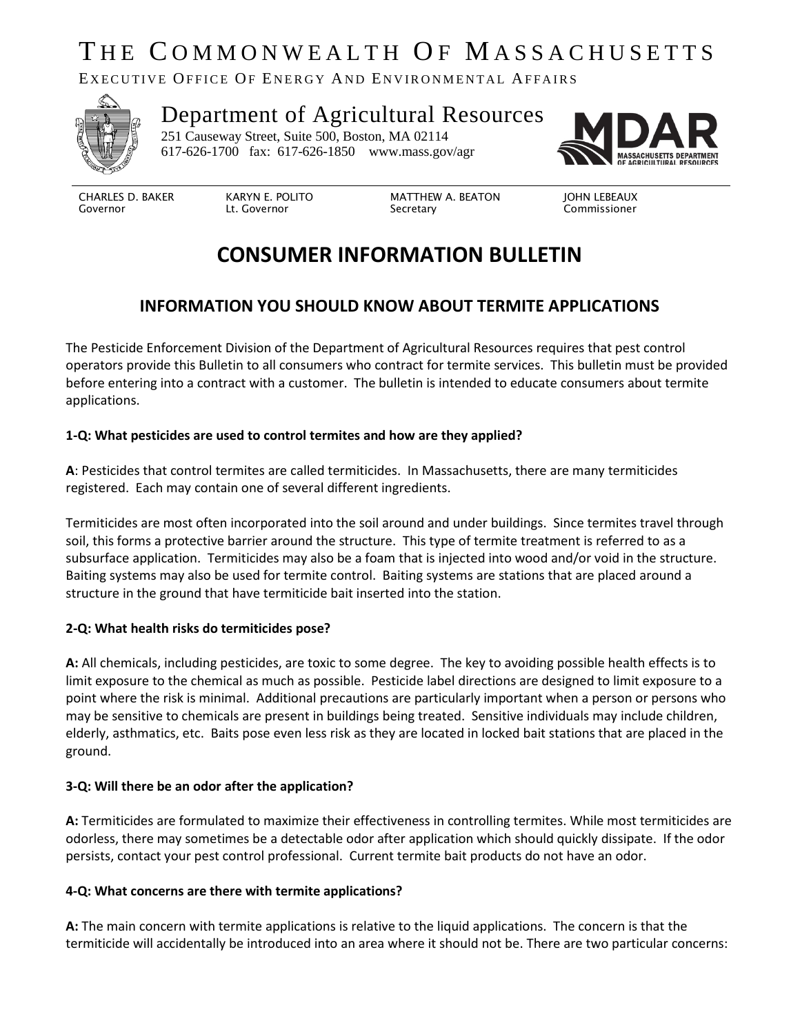# THE COMMONWEALTH OF MASSACHUSETTS

EXECUTIVE OFFICE OF ENERGY AND ENVIRONMENTAL AFFAIRS



### Department of Agricultural Resources 251 Causeway Street, Suite 500, Boston, MA 02114

617-626-1700 fax: 617-626-1850 www.mass.gov/agr



CHARLES D. BAKER Governor

KARYN E. POLITO Lt. Governor

MATTHEW A. BEATON Secretary

JOHN LEBEAUX Commissioner

# **CONSUMER INFORMATION BULLETIN**

## **INFORMATION YOU SHOULD KNOW ABOUT TERMITE APPLICATIONS**

The Pesticide Enforcement Division of the Department of Agricultural Resources requires that pest control operators provide this Bulletin to all consumers who contract for termite services. This bulletin must be provided before entering into a contract with a customer. The bulletin is intended to educate consumers about termite applications.

#### **1-Q: What pesticides are used to control termites and how are they applied?**

**A**: Pesticides that control termites are called termiticides. In Massachusetts, there are many termiticides registered. Each may contain one of several different ingredients.

Termiticides are most often incorporated into the soil around and under buildings. Since termites travel through soil, this forms a protective barrier around the structure. This type of termite treatment is referred to as a subsurface application. Termiticides may also be a foam that is injected into wood and/or void in the structure. Baiting systems may also be used for termite control. Baiting systems are stations that are placed around a structure in the ground that have termiticide bait inserted into the station.

#### **2-Q: What health risks do termiticides pose?**

**A:** All chemicals, including pesticides, are toxic to some degree. The key to avoiding possible health effects is to limit exposure to the chemical as much as possible. Pesticide label directions are designed to limit exposure to a point where the risk is minimal. Additional precautions are particularly important when a person or persons who may be sensitive to chemicals are present in buildings being treated. Sensitive individuals may include children, elderly, asthmatics, etc. Baits pose even less risk as they are located in locked bait stations that are placed in the ground.

#### **3-Q: Will there be an odor after the application?**

**A:** Termiticides are formulated to maximize their effectiveness in controlling termites. While most termiticides are odorless, there may sometimes be a detectable odor after application which should quickly dissipate. If the odor persists, contact your pest control professional. Current termite bait products do not have an odor.

#### **4-Q: What concerns are there with termite applications?**

**A:** The main concern with termite applications is relative to the liquid applications. The concern is that the termiticide will accidentally be introduced into an area where it should not be. There are two particular concerns: